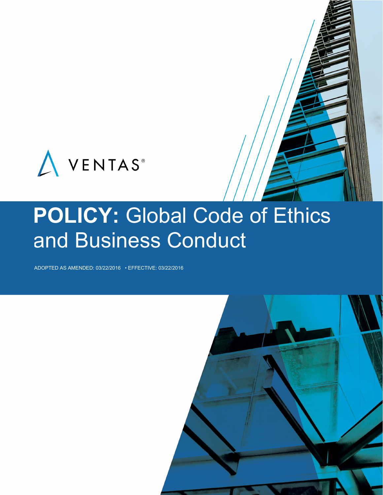

# POLICY: Global Code of Ethics and Business Conduct

ADOPTED AS AMENDED: 03/22/2016 • EFFECTIVE: 03/22/2016

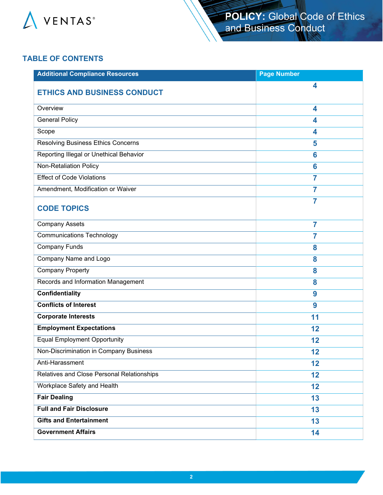

## **TABLE OF CONTENTS**

| <b>Additional Compliance Resources</b>     | <b>Page Number</b> |
|--------------------------------------------|--------------------|
| <b>ETHICS AND BUSINESS CONDUCT</b>         | 4                  |
| Overview                                   | 4                  |
| <b>General Policy</b>                      | 4                  |
| Scope                                      | 4                  |
| <b>Resolving Business Ethics Concerns</b>  | 5                  |
| Reporting Illegal or Unethical Behavior    | 6                  |
| <b>Non-Retaliation Policy</b>              | $6\phantom{a}$     |
| <b>Effect of Code Violations</b>           | $\overline{7}$     |
| Amendment, Modification or Waiver          | 7                  |
| <b>CODE TOPICS</b>                         | 7                  |
| <b>Company Assets</b>                      | $\overline{7}$     |
| <b>Communications Technology</b>           | 7                  |
| <b>Company Funds</b>                       | 8                  |
| Company Name and Logo                      | 8                  |
| <b>Company Property</b>                    | 8                  |
| Records and Information Management         | 8                  |
| <b>Confidentiality</b>                     | 9                  |
| <b>Conflicts of Interest</b>               | 9                  |
| <b>Corporate Interests</b>                 | 11                 |
| <b>Employment Expectations</b>             | 12                 |
| <b>Equal Employment Opportunity</b>        | 12                 |
| Non-Discrimination in Company Business     | 12                 |
| Anti-Harassment                            | 12                 |
| Relatives and Close Personal Relationships | 12                 |
| Workplace Safety and Health                | 12                 |
| <b>Fair Dealing</b>                        | 13                 |
| <b>Full and Fair Disclosure</b>            | 13                 |
| <b>Gifts and Entertainment</b>             | 13                 |
| <b>Government Affairs</b>                  | 14                 |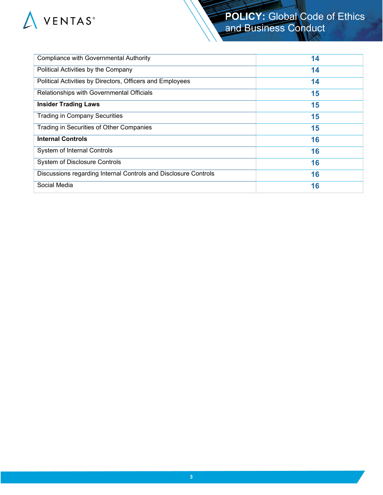

# **POLICY:** Global Code of Ethics and Business Conduct

| <b>Compliance with Governmental Authority</b>                   | 14 |
|-----------------------------------------------------------------|----|
| Political Activities by the Company                             | 14 |
| Political Activities by Directors, Officers and Employees       | 14 |
| Relationships with Governmental Officials                       | 15 |
| <b>Insider Trading Laws</b>                                     | 15 |
| <b>Trading in Company Securities</b>                            | 15 |
| Trading in Securities of Other Companies                        | 15 |
| <b>Internal Controls</b>                                        | 16 |
| System of Internal Controls                                     | 16 |
| System of Disclosure Controls                                   | 16 |
| Discussions regarding Internal Controls and Disclosure Controls | 16 |
| Social Media                                                    | 16 |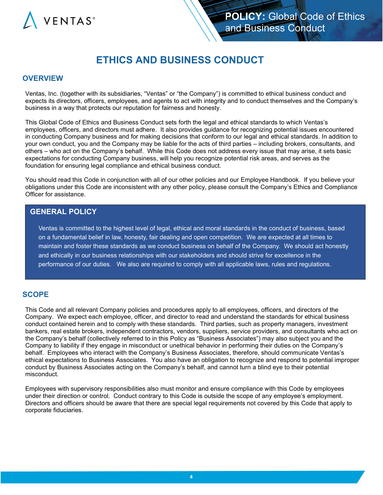

# **ETHICS AND BUSINESS CONDUCT**

#### **OVERVIEW**

Ventas, Inc. (together with its subsidiaries, "Ventas" or "the Company") is committed to ethical business conduct and expects its directors, officers, employees, and agents to act with integrity and to conduct themselves and the Company's business in a way that protects our reputation for fairness and honesty.

This Global Code of Ethics and Business Conduct sets forth the legal and ethical standards to which Ventas's employees, officers, and directors must adhere. It also provides guidance for recognizing potential issues encountered in conducting Company business and for making decisions that conform to our legal and ethical standards. In addition to your own conduct, you and the Company may be liable for the acts of third parties – including brokers, consultants, and others – who act on the Company's behalf. While this Code does not address every issue that may arise, it sets basic expectations for conducting Company business, will help you recognize potential risk areas, and serves as the foundation for ensuring legal compliance and ethical business conduct.

You should read this Code in conjunction with all of our other policies and our Employee Handbook. If you believe your obligations under this Code are inconsistent with any other policy, please consult the Company's Ethics and Compliance Officer for assistance.

#### **GENERAL POLICY**

Ventas is committed to the highest level of legal, ethical and moral standards in the conduct of business, based on a fundamental belief in law, honesty, fair dealing and open competition. We are expected at all times to maintain and foster these standards as we conduct business on behalf of the Company. We should act honestly and ethically in our business relationships with our stakeholders and should strive for excellence in the performance of our duties. We also are required to comply with all applicable laws, rules and regulations.

#### **SCOPE**

This Code and all relevant Company policies and procedures apply to all employees, officers, and directors of the Company. We expect each employee, officer, and director to read and understand the standards for ethical business conduct contained herein and to comply with these standards. Third parties, such as property managers, investment bankers, real estate brokers, independent contractors, vendors, suppliers, service providers, and consultants who act on the Company's behalf (collectively referred to in this Policy as "Business Associates") may also subject you and the Company to liability if they engage in misconduct or unethical behavior in performing their duties on the Company's behalf. Employees who interact with the Company's Business Associates, therefore, should communicate Ventas's ethical expectations to Business Associates. You also have an obligation to recognize and respond to potential improper conduct by Business Associates acting on the Company's behalf, and cannot turn a blind eye to their potential misconduct.

Employees with supervisory responsibilities also must monitor and ensure compliance with this Code by employees under their direction or control. Conduct contrary to this Code is outside the scope of any employee's employment. Directors and officers should be aware that there are special legal requirements not covered by this Code that apply to corporate fiduciaries.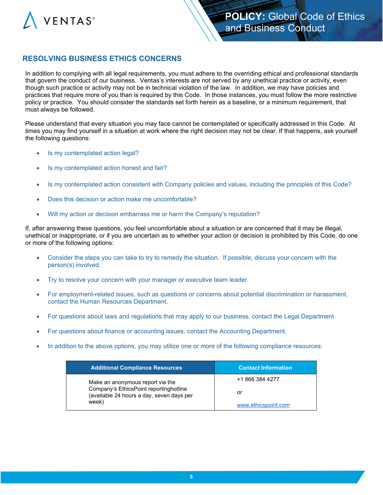

## **RESOLVING BUSINESS ETHICS CONCERNS**

In addition to complying with all legal requirements, you must adhere to the overriding ethical and professional standards that govern the conduct of our business. Ventas's interests are not served by any unethical practice or activity, even though such practice or activity may not be in technical violation of the law. In addition, we may have policies and practices that require more of you than is required by this Code. In those instances, you must follow the more restrictive policy or practice. You should consider the standards set forth herein as a baseline, or a minimum requirement, that must always be followed.

Please understand that every situation you may face cannot be contemplated or specifically addressed in this Code. At times you may find yourself in a situation at work where the right decision may not be clear. If that happens, ask yourself the following questions:

- Is my contemplated action legal?
- Is my contemplated action honest and fair?
- Is my contemplated action consistent with Company policies and values, including the principles of this Code?
- Does this decision or action make me uncomfortable?
- Will my action or decision embarrass me or harm the Company's reputation?

If, after answering these questions, you feel uncomfortable about a situation or are concerned that it may be illegal, unethical or inappropriate, or if you are uncertain as to whether your action or decision is prohibited by this Code, do one or more of the following options:

- Consider the steps you can take to try to remedy the situation. If possible, discuss your concern with the person(s) involved.
- Try to resolve your concern with your manager or executive team leader.
- For employment-related issues, such as questions or concerns about potential discrimination or harassment, contact the Human Resources Department.
- For questions about laws and regulations that may apply to our business, contact the Legal Department.
- For questions about finance or accounting issues, contact the Accounting Department.
- In addition to the above options, you may utilize one or more of the following compliance resources:

| <b>Additional Compliance Resources</b>                                                                                           | <b>Contact Information</b> |
|----------------------------------------------------------------------------------------------------------------------------------|----------------------------|
| Make an anonymous report via the<br>Company's EthicsPoint reportinghotline<br>(available 24 hours a day, seven days per<br>week) | +1 866 384 4277            |
|                                                                                                                                  | or                         |
|                                                                                                                                  | www.ethicspoint.com        |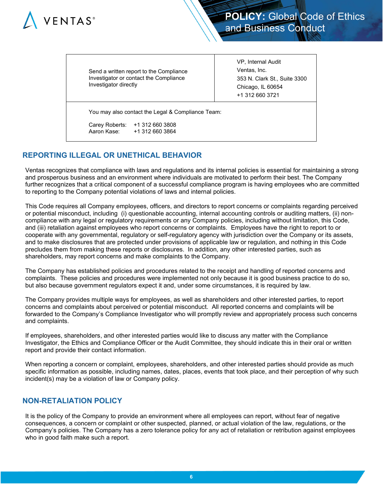

| Investigator directly         | Send a written report to the Compliance<br>Investigator or contact the Compliance | VP, Internal Audit<br>Ventas, Inc.<br>353 N. Clark St., Suite 3300<br>Chicago, IL 60654<br>+1 312 660 3721 |
|-------------------------------|-----------------------------------------------------------------------------------|------------------------------------------------------------------------------------------------------------|
|                               | You may also contact the Legal & Compliance Team:                                 |                                                                                                            |
| Carey Roberts:<br>Aaron Kase: | +1 312 660 3808<br>+1 312 660 3864                                                |                                                                                                            |

## **REPORTING ILLEGAL OR UNETHICAL BEHAVIOR**

Ventas recognizes that compliance with laws and regulations and its internal policies is essential for maintaining a strong and prosperous business and an environment where individuals are motivated to perform their best. The Company further recognizes that a critical component of a successful compliance program is having employees who are committed to reporting to the Company potential violations of laws and internal policies.

This Code requires all Company employees, officers, and directors to report concerns or complaints regarding perceived or potential misconduct, including (i) questionable accounting, internal accounting controls or auditing matters, (ii) noncompliance with any legal or regulatory requirements or any Company policies, including without limitation, this Code, and (iii) retaliation against employees who report concerns or complaints. Employees have the right to report to or cooperate with any governmental, regulatory or self-regulatory agency with jurisdiction over the Company or its assets, and to make disclosures that are protected under provisions of applicable law or regulation, and nothing in this Code precludes them from making these reports or disclosures. In addition, any other interested parties, such as shareholders, may report concerns and make complaints to the Company.

The Company has established policies and procedures related to the receipt and handling of reported concerns and complaints. These policies and procedures were implemented not only because it is good business practice to do so, but also because government regulators expect it and, under some circumstances, it is required by law.

The Company provides multiple ways for employees, as well as shareholders and other interested parties, to report concerns and complaints about perceived or potential misconduct. All reported concerns and complaints will be forwarded to the Company's Compliance Investigator who will promptly review and appropriately process such concerns and complaints.

If employees, shareholders, and other interested parties would like to discuss any matter with the Compliance Investigator, the Ethics and Compliance Officer or the Audit Committee, they should indicate this in their oral or written report and provide their contact information.

When reporting a concern or complaint, employees, shareholders, and other interested parties should provide as much specific information as possible, including names, dates, places, events that took place, and their perception of why such incident(s) may be a violation of law or Company policy.

## **NON-RETALIATION POLICY**

It is the policy of the Company to provide an environment where all employees can report, without fear of negative consequences, a concern or complaint or other suspected, planned, or actual violation of the law, regulations, or the Company's policies. The Company has a zero tolerance policy for any act of retaliation or retribution against employees who in good faith make such a report.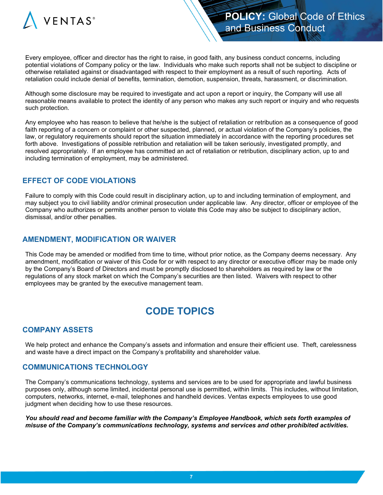

Every employee, officer and director has the right to raise, in good faith, any business conduct concerns, including potential violations of Company policy or the law. Individuals who make such reports shall not be subject to discipline or otherwise retaliated against or disadvantaged with respect to their employment as a result of such reporting. Acts of retaliation could include denial of benefits, termination, demotion, suspension, threats, harassment, or discrimination.

Although some disclosure may be required to investigate and act upon a report or inquiry, the Company will use all reasonable means available to protect the identity of any person who makes any such report or inquiry and who requests such protection.

Any employee who has reason to believe that he/she is the subject of retaliation or retribution as a consequence of good faith reporting of a concern or complaint or other suspected, planned, or actual violation of the Company's policies, the law, or regulatory requirements should report the situation immediately in accordance with the reporting procedures set forth above. Investigations of possible retribution and retaliation will be taken seriously, investigated promptly, and resolved appropriately. If an employee has committed an act of retaliation or retribution, disciplinary action, up to and including termination of employment, may be administered.

#### **EFFECT OF CODE VIOLATIONS**

Failure to comply with this Code could result in disciplinary action, up to and including termination of employment, and may subject you to civil liability and/or criminal prosecution under applicable law. Any director, officer or employee of the Company who authorizes or permits another person to violate this Code may also be subject to disciplinary action, dismissal, and/or other penalties.

#### **AMENDMENT, MODIFICATION OR WAIVER**

This Code may be amended or modified from time to time, without prior notice, as the Company deems necessary. Any amendment, modification or waiver of this Code for or with respect to any director or executive officer may be made only by the Company's Board of Directors and must be promptly disclosed to shareholders as required by law or the regulations of any stock market on which the Company's securities are then listed. Waivers with respect to other employees may be granted by the executive management team.

# **CODE TOPICS**

#### **COMPANY ASSETS**

We help protect and enhance the Company's assets and information and ensure their efficient use. Theft, carelessness and waste have a direct impact on the Company's profitability and shareholder value.

#### **COMMUNICATIONS TECHNOLOGY**

The Company's communications technology, systems and services are to be used for appropriate and lawful business purposes only, although some limited, incidental personal use is permitted, within limits. This includes, without limitation, computers, networks, internet, e-mail, telephones and handheld devices. Ventas expects employees to use good judgment when deciding how to use these resources.

*You should read and become familiar with the Company's Employee Handbook, which sets forth examples of misuse of the Company's communications technology, systems and services and other prohibited activities.*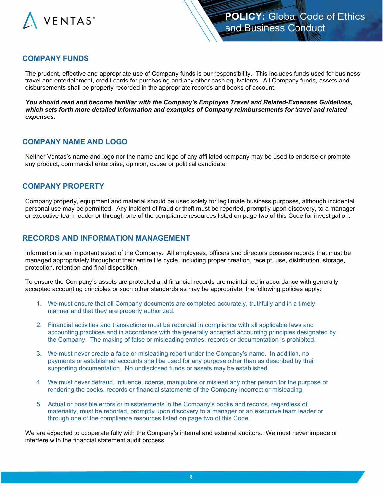

#### **COMPANY FUNDS**

The prudent, effective and appropriate use of Company funds is our responsibility. This includes funds used for business travel and entertainment, credit cards for purchasing and any other cash equivalents. All Company funds, assets and disbursements shall be properly recorded in the appropriate records and books of account.

*You should read and become familiar with the Company's Employee Travel and Related-Expenses Guidelines, which sets forth more detailed information and examples of Company reimbursements for travel and related expenses.*

#### **COMPANY NAME AND LOGO**

Neither Ventas's name and logo nor the name and logo of any affiliated company may be used to endorse or promote any product, commercial enterprise, opinion, cause or political candidate.

#### **COMPANY PROPERTY**

Company property, equipment and material should be used solely for legitimate business purposes, although incidental personal use may be permitted. Any incident of fraud or theft must be reported, promptly upon discovery, to a manager or executive team leader or through one of the compliance resources listed on page two of this Code for investigation.

#### **RECORDS AND INFORMATION MANAGEMENT**

Information is an important asset of the Company. All employees, officers and directors possess records that must be managed appropriately throughout their entire life cycle, including proper creation, receipt, use, distribution, storage, protection, retention and final disposition.

To ensure the Company's assets are protected and financial records are maintained in accordance with generally accepted accounting principles or such other standards as may be appropriate, the following policies apply:

- 1. We must ensure that all Company documents are completed accurately, truthfully and in a timely manner and that they are properly authorized.
- 2. Financial activities and transactions must be recorded in compliance with all applicable laws and accounting practices and in accordance with the generally accepted accounting principles designated by the Company. The making of false or misleading entries, records or documentation is prohibited.
- 3. We must never create a false or misleading report under the Company's name. In addition, no payments or established accounts shall be used for any purpose other than as described by their supporting documentation. No undisclosed funds or assets may be established.
- 4. We must never defraud, influence, coerce, manipulate or mislead any other person for the purpose of rendering the books, records or financial statements of the Company incorrect or misleading.
- 5. Actual or possible errors or misstatements in the Company's books and records, regardless of materiality, must be reported, promptly upon discovery to a manager or an executive team leader or through one of the compliance resources listed on page two of this Code.

We are expected to cooperate fully with the Company's internal and external auditors. We must never impede or interfere with the financial statement audit process.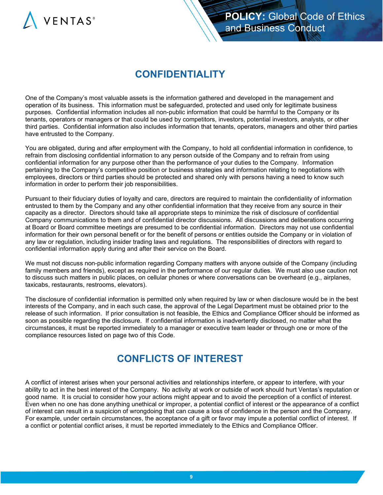

# **CONFIDENTIALITY**

One of the Company's most valuable assets is the information gathered and developed in the management and operation of its business. This information must be safeguarded, protected and used only for legitimate business purposes. Confidential information includes all non-public information that could be harmful to the Company or its tenants, operators or managers or that could be used by competitors, investors, potential investors, analysts, or other third parties. Confidential information also includes information that tenants, operators, managers and other third parties have entrusted to the Company.

You are obligated, during and after employment with the Company, to hold all confidential information in confidence, to refrain from disclosing confidential information to any person outside of the Company and to refrain from using confidential information for any purpose other than the performance of your duties to the Company. Information pertaining to the Company's competitive position or business strategies and information relating to negotiations with employees, directors or third parties should be protected and shared only with persons having a need to know such information in order to perform their job responsibilities.

Pursuant to their fiduciary duties of loyalty and care, directors are required to maintain the confidentiality of information entrusted to them by the Company and any other confidential information that they receive from any source in their capacity as a director. Directors should take all appropriate steps to minimize the risk of disclosure of confidential Company communications to them and of confidential director discussions. All discussions and deliberations occurring at Board or Board committee meetings are presumed to be confidential information. Directors may not use confidential information for their own personal benefit or for the benefit of persons or entities outside the Company or in violation of any law or regulation, including insider trading laws and regulations. The responsibilities of directors with regard to confidential information apply during and after their service on the Board.

We must not discuss non-public information regarding Company matters with anyone outside of the Company (including family members and friends), except as required in the performance of our regular duties. We must also use caution not to discuss such matters in public places, on cellular phones or where conversations can be overheard (e.g., airplanes, taxicabs, restaurants, restrooms, elevators).

The disclosure of confidential information is permitted only when required by law or when disclosure would be in the best interests of the Company, and in each such case, the approval of the Legal Department must be obtained prior to the release of such information. If prior consultation is not feasible, the Ethics and Compliance Officer should be informed as soon as possible regarding the disclosure. If confidential information is inadvertently disclosed, no matter what the circumstances, it must be reported immediately to a manager or executive team leader or through one or more of the compliance resources listed on page two of this Code.

# **CONFLICTS OF INTEREST**

A conflict of interest arises when your personal activities and relationships interfere, or appear to interfere, with your ability to act in the best interest of the Company. No activity at work or outside of work should hurt Ventas's reputation or good name. It is crucial to consider how your actions might appear and to avoid the perception of a conflict of interest. Even when no one has done anything unethical or improper, a potential conflict of interest or the appearance of a conflict of interest can result in a suspicion of wrongdoing that can cause a loss of confidence in the person and the Company. For example, under certain circumstances, the acceptance of a gift or favor may impute a potential conflict of interest. If a conflict or potential conflict arises, it must be reported immediately to the Ethics and Compliance Officer.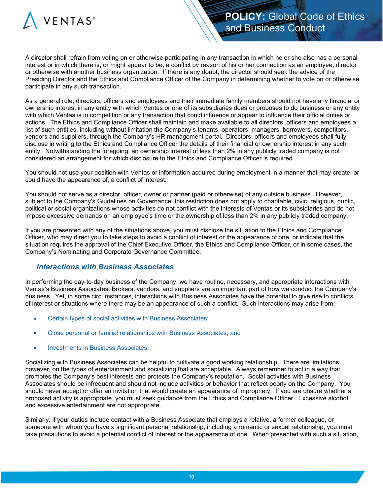

A director shall refrain from voting on or otherwise participating in any transaction in which he or she also has a personal interest or in which there is, or might appear to be, a conflict by reason of his or her connection as an employee, director or otherwise with another business organization. If there is any doubt, the director should seek the advice of the Presiding Director and the Ethics and Compliance Officer of the Company in determining whether to vote on or otherwise participate in any such transaction.

As a general rule, directors, officers and employees and their immediate family members should not have any financial or ownership interest in any entity with which Ventas or one of its subsidiaries does or proposes to do business or any entity with which Ventas is in competition or any transaction that could influence or appear to influence their official duties or actions. The Ethics and Compliance Officer shall maintain and make available to all directors, officers and employees a list of such entities, including without limitation the Company's tenants, operators, managers, borrowers, competitors, vendors and suppliers, through the Company's HR management portal. Directors, officers and employees shall fully disclose in writing to the Ethics and Compliance Officer the details of their financial or ownership interest in any such entity. Notwithstanding the foregoing, an ownership interest of less than 2% in any publicly traded company is not considered an arrangement for which disclosure to the Ethics and Compliance Officer is required.

You should not use your position with Ventas or information acquired during employment in a manner that may create, or could have the appearance of, a conflict of interest.

You should not serve as a director, officer, owner or partner (paid or otherwise) of any outside business. However, subject to the Company's Guidelines on Governance, this restriction does not apply to charitable, civic, religious, public, political or social organizations whose activities do not conflict with the interests of Ventas or its subsidiaries and do not impose excessive demands on an employee's time or the ownership of less than 2% in any publicly traded company.

If you are presented with any of the situations above, you must disclose the situation to the Ethics and Compliance Officer, who may direct you to take steps to avoid a conflict of interest or the appearance of one, or indicate that the situation requires the approval of the Chief Executive Officer, the Ethics and Compliance Officer, or in some cases, the Company's Nominating and Corporate Governance Committee.

#### *Interactions with Business Associates*

In performing the day-to-day business of the Company, we have routine, necessary, and appropriate interactions with Ventas's Business Associates. Brokers, vendors, and suppliers are an important part of how we conduct the Company's business. Yet, in some circumstances, interactions with Business Associates have the potential to give rise to conflicts of interest or situations where there may be an appearance of such a conflict. Such interactions may arise from:

- Certain types of social activities with Business Associates;
- Close personal or familial relationships with Business Associates; and
- Investments in Business Associates.

Socializing with Business Associates can be helpful to cultivate a good working relationship. There are limitations, however, on the types of entertainment and socializing that are acceptable. Always remember to act in a way that promotes the Company's best interests and protects the Company's reputation. Social activities with Business Associates should be infrequent and should not include activities or behavior that reflect poorly on the Company. You should never accept or offer an invitation that would create an appearance of impropriety. If you are unsure whether a proposed activity is appropriate, you must seek guidance from the Ethics and Compliance Officer. Excessive alcohol and excessive entertainment are not appropriate.

Similarly, if your duties include contact with a Business Associate that employs a relative, a former colleague, or someone with whom you have a significant personal relationship, including a romantic or sexual relationship, you must take precautions to avoid a potential conflict of interest or the appearance of one. When presented with such a situation,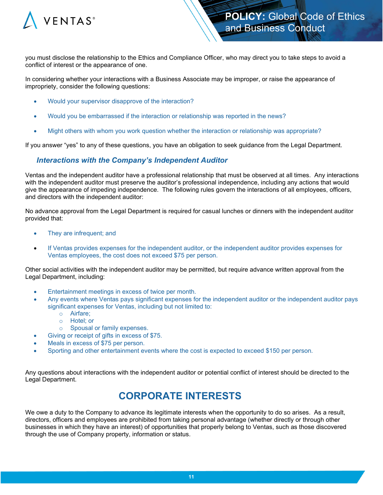

you must disclose the relationship to the Ethics and Compliance Officer, who may direct you to take steps to avoid a conflict of interest or the appearance of one.

In considering whether your interactions with a Business Associate may be improper, or raise the appearance of impropriety, consider the following questions:

- Would your supervisor disapprove of the interaction?
- Would you be embarrassed if the interaction or relationship was reported in the news?
- Might others with whom you work question whether the interaction or relationship was appropriate?

If you answer "yes" to any of these questions, you have an obligation to seek guidance from the Legal Department.

#### *Interactions with the Company's Independent Auditor*

Ventas and the independent auditor have a professional relationship that must be observed at all times. Any interactions with the independent auditor must preserve the auditor's professional independence, including any actions that would give the appearance of impeding independence. The following rules govern the interactions of all employees, officers, and directors with the independent auditor:

No advance approval from the Legal Department is required for casual lunches or dinners with the independent auditor provided that:

- They are infrequent; and
- If Ventas provides expenses for the independent auditor, or the independent auditor provides expenses for Ventas employees, the cost does not exceed \$75 per person.

Other social activities with the independent auditor may be permitted, but require advance written approval from the Legal Department, including:

- Entertainment meetings in excess of twice per month.
- Any events where Ventas pays significant expenses for the independent auditor or the independent auditor pays significant expenses for Ventas, including but not limited to:
	- o Airfare;
	- o Hotel; or
	- o Spousal or family expenses.
- Giving or receipt of gifts in excess of \$75.
- Meals in excess of \$75 per person.
- Sporting and other entertainment events where the cost is expected to exceed \$150 per person.

Any questions about interactions with the independent auditor or potential conflict of interest should be directed to the Legal Department.

# **CORPORATE INTERESTS**

We owe a duty to the Company to advance its legitimate interests when the opportunity to do so arises. As a result, directors, officers and employees are prohibited from taking personal advantage (whether directly or through other businesses in which they have an interest) of opportunities that properly belong to Ventas, such as those discovered through the use of Company property, information or status.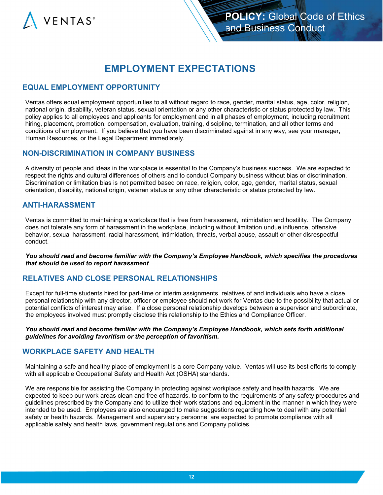

# **EMPLOYMENT EXPECTATIONS**

#### **EQUAL EMPLOYMENT OPPORTUNITY**

Ventas offers equal employment opportunities to all without regard to race, gender, marital status, age, color, religion, national origin, disability, veteran status, sexual orientation or any other characteristic or status protected by law. This policy applies to all employees and applicants for employment and in all phases of employment, including recruitment, hiring, placement, promotion, compensation, evaluation, training, discipline, termination, and all other terms and conditions of employment. If you believe that you have been discriminated against in any way, see your manager, Human Resources, or the Legal Department immediately.

#### **NON-DISCRIMINATION IN COMPANY BUSINESS**

A diversity of people and ideas in the workplace is essential to the Company's business success. We are expected to respect the rights and cultural differences of others and to conduct Company business without bias or discrimination. Discrimination or limitation bias is not permitted based on race, religion, color, age, gender, marital status, sexual orientation, disability, national origin, veteran status or any other characteristic or status protected by law.

#### **ANTI-HARASSMENT**

Ventas is committed to maintaining a workplace that is free from harassment, intimidation and hostility. The Company does not tolerate any form of harassment in the workplace, including without limitation undue influence, offensive behavior, sexual harassment, racial harassment, intimidation, threats, verbal abuse, assault or other disrespectful conduct.

*You should read and become familiar with the Company's Employee Handbook, which specifies the procedures that should be used to report harassment*.

#### **RELATIVES AND CLOSE PERSONAL RELATIONSHIPS**

Except for full-time students hired for part-time or interim assignments, relatives of and individuals who have a close personal relationship with any director, officer or employee should not work for Ventas due to the possibility that actual or potential conflicts of interest may arise. If a close personal relationship develops between a supervisor and subordinate, the employees involved must promptly disclose this relationship to the Ethics and Compliance Officer.

*You should read and become familiar with the Company's Employee Handbook, which sets forth additional guidelines for avoiding favoritism or the perception of favoritism.*

#### **WORKPLACE SAFETY AND HEALTH**

Maintaining a safe and healthy place of employment is a core Company value. Ventas will use its best efforts to comply with all applicable Occupational Safety and Health Act (OSHA) standards.

We are responsible for assisting the Company in protecting against workplace safety and health hazards. We are expected to keep our work areas clean and free of hazards, to conform to the requirements of any safety procedures and guidelines prescribed by the Company and to utilize their work stations and equipment in the manner in which they were intended to be used. Employees are also encouraged to make suggestions regarding how to deal with any potential safety or health hazards. Management and supervisory personnel are expected to promote compliance with all applicable safety and health laws, government regulations and Company policies.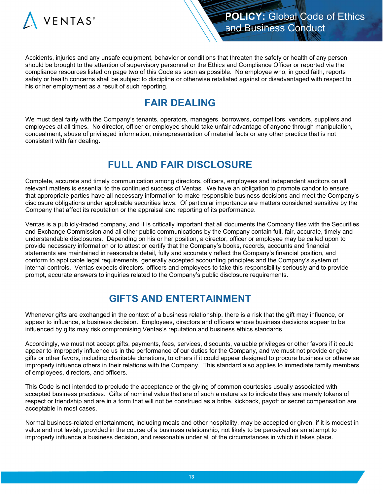

Accidents, injuries and any unsafe equipment, behavior or conditions that threaten the safety or health of any person should be brought to the attention of supervisory personnel or the Ethics and Compliance Officer or reported via the compliance resources listed on page two of this Code as soon as possible. No employee who, in good faith, reports safety or health concerns shall be subject to discipline or otherwise retaliated against or disadvantaged with respect to his or her employment as a result of such reporting.

# **FAIR DEALING**

We must deal fairly with the Company's tenants, operators, managers, borrowers, competitors, vendors, suppliers and employees at all times. No director, officer or employee should take unfair advantage of anyone through manipulation, concealment, abuse of privileged information, misrepresentation of material facts or any other practice that is not consistent with fair dealing.

# **FULL AND FAIR DISCLOSURE**

Complete, accurate and timely communication among directors, officers, employees and independent auditors on all relevant matters is essential to the continued success of Ventas. We have an obligation to promote candor to ensure that appropriate parties have all necessary information to make responsible business decisions and meet the Company's disclosure obligations under applicable securities laws. Of particular importance are matters considered sensitive by the Company that affect its reputation or the appraisal and reporting of its performance.

Ventas is a publicly-traded company, and it is critically important that all documents the Company files with the Securities and Exchange Commission and all other public communications by the Company contain full, fair, accurate, timely and understandable disclosures. Depending on his or her position, a director, officer or employee may be called upon to provide necessary information or to attest or certify that the Company's books, records, accounts and financial statements are maintained in reasonable detail, fully and accurately reflect the Company's financial position, and conform to applicable legal requirements, generally accepted accounting principles and the Company's system of internal controls. Ventas expects directors, officers and employees to take this responsibility seriously and to provide prompt, accurate answers to inquiries related to the Company's public disclosure requirements.

# **GIFTS AND ENTERTAINMENT**

Whenever gifts are exchanged in the context of a business relationship, there is a risk that the gift may influence, or appear to influence, a business decision. Employees, directors and officers whose business decisions appear to be influenced by gifts may risk compromising Ventas's reputation and business ethics standards.

Accordingly, we must not accept gifts, payments, fees, services, discounts, valuable privileges or other favors if it could appear to improperly influence us in the performance of our duties for the Company, and we must not provide or give gifts or other favors, including charitable donations, to others if it could appear designed to procure business or otherwise improperly influence others in their relations with the Company. This standard also applies to immediate family members of employees, directors, and officers.

This Code is not intended to preclude the acceptance or the giving of common courtesies usually associated with accepted business practices. Gifts of nominal value that are of such a nature as to indicate they are merely tokens of respect or friendship and are in a form that will not be construed as a bribe, kickback, payoff or secret compensation are acceptable in most cases.

Normal business-related entertainment, including meals and other hospitality, may be accepted or given, if it is modest in value and not lavish, provided in the course of a business relationship, not likely to be perceived as an attempt to improperly influence a business decision, and reasonable under all of the circumstances in which it takes place.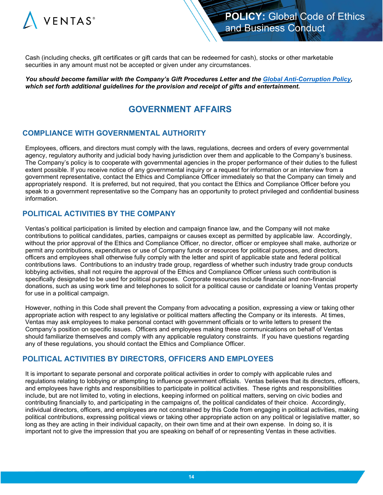

Cash (including checks, gift certificates or gift cards that can be redeemed for cash), stocks or other marketable securities in any amount must not be accepted or given under any circumstances.

*You should become familiar with the Company's Gift Procedures Letter and the [Global Anti-Corruption Policy,](https://www.ventasreit.com/sites/default/files/pdf/2016_0322_Policy_GlobalAntiCorruption_Final) which set forth additional guidelines for the provision and receipt of gifts and entertainment.*

## **GOVERNMENT AFFAIRS**

## **COMPLIANCE WITH GOVERNMENTAL AUTHORITY**

Employees, officers, and directors must comply with the laws, regulations, decrees and orders of every governmental agency, regulatory authority and judicial body having jurisdiction over them and applicable to the Company's business. The Company's policy is to cooperate with governmental agencies in the proper performance of their duties to the fullest extent possible. If you receive notice of any governmental inquiry or a request for information or an interview from a government representative, contact the Ethics and Compliance Officer immediately so that the Company can timely and appropriately respond. It is preferred, but not required, that you contact the Ethics and Compliance Officer before you speak to a government representative so the Company has an opportunity to protect privileged and confidential business information.

#### **POLITICAL ACTIVITIES BY THE COMPANY**

Ventas's political participation is limited by election and campaign finance law, and the Company will not make contributions to political candidates, parties, campaigns or causes except as permitted by applicable law. Accordingly, without the prior approval of the Ethics and Compliance Officer, no director, officer or employee shall make, authorize or permit any contributions, expenditures or use of Company funds or resources for political purposes, and directors, officers and employees shall otherwise fully comply with the letter and spirit of applicable state and federal political contributions laws. Contributions to an industry trade group, regardless of whether such industry trade group conducts lobbying activities, shall not require the approval of the Ethics and Compliance Officer unless such contribution is specifically designated to be used for political purposes. Corporate resources include financial and non-financial donations, such as using work time and telephones to solicit for a political cause or candidate or loaning Ventas property for use in a political campaign.

However, nothing in this Code shall prevent the Company from advocating a position, expressing a view or taking other appropriate action with respect to any legislative or political matters affecting the Company or its interests. At times, Ventas may ask employees to make personal contact with government officials or to write letters to present the Company's position on specific issues. Officers and employees making these communications on behalf of Ventas should familiarize themselves and comply with any applicable regulatory constraints. If you have questions regarding any of these regulations, you should contact the Ethics and Compliance Officer.

#### **POLITICAL ACTIVITIES BY DIRECTORS, OFFICERS AND EMPLOYEES**

It is important to separate personal and corporate political activities in order to comply with applicable rules and regulations relating to lobbying or attempting to influence government officials. Ventas believes that its directors, officers, and employees have rights and responsibilities to participate in political activities. These rights and responsibilities include, but are not limited to, voting in elections, keeping informed on political matters, serving on civic bodies and contributing financially to, and participating in the campaigns of, the political candidates of their choice. Accordingly, individual directors, officers, and employees are not constrained by this Code from engaging in political activities, making political contributions, expressing political views or taking other appropriate action on any political or legislative matter, so long as they are acting in their individual capacity, on their own time and at their own expense. In doing so, it is important not to give the impression that you are speaking on behalf of or representing Ventas in these activities.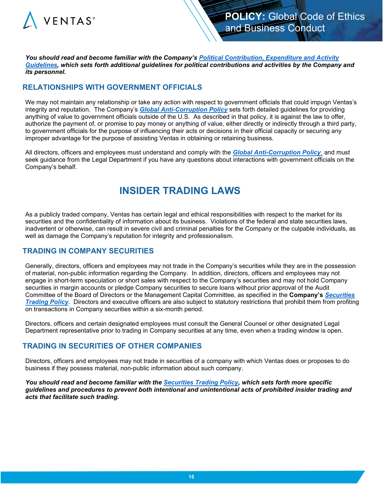

*You should read and become familiar with the Company's [Political Contribution, Expenditure and Activity](https://www.ventasreit.com/sites/default/files/pdf/2018_0523_Guidelines_PoliticalContributionExpenditureAndActivity_Final)  [Guidelines,](https://www.ventasreit.com/sites/default/files/pdf/2018_0523_Guidelines_PoliticalContributionExpenditureAndActivity_Final) which sets forth additional guidelines for political contributions and activities by the Company and its personnel.*

## **RELATIONSHIPS WITH GOVERNMENT OFFICIALS**

We may not maintain any relationship or take any action with respect to government officials that could impugn Ventas's integrity and reputation. The Company's *[Global Anti-Corruption Policy](https://www.ventasreit.com/sites/default/files/pdf/2016_0322_Policy_GlobalAntiCorruption_Final)* sets forth detailed guidelines for providing anything of value to government officials outside of the U.S. As described in that policy, it is against the law to offer, authorize the payment of, or promise to pay money or anything of value, either directly or indirectly through a third party, to government officials for the purpose of influencing their acts or decisions in their official capacity or securing any improper advantage for the purpose of assisting Ventas in obtaining or retaining business.

All directors, officers and employees must understand and comply with the *[Global Anti-Corruption Policy](https://www.ventasreit.com/sites/default/files/pdf/2016_0322_Policy_GlobalAntiCorruption_Final)*, and must seek guidance from the Legal Department if you have any questions about interactions with government officials on the Company's behalf.

# **INSIDER TRADING LAWS**

As a publicly traded company, Ventas has certain legal and ethical responsibilities with respect to the market for its securities and the confidentiality of information about its business. Violations of the federal and state securities laws, inadvertent or otherwise, can result in severe civil and criminal penalties for the Company or the culpable individuals, as well as damage the Company's reputation for integrity and professionalism.

#### **TRADING IN COMPANY SECURITIES**

Generally, directors, officers and employees may not trade in the Company's securities while they are in the possession of material, non-public information regarding the Company. In addition, directors, officers and employees may not engage in short-term speculation or short sales with respect to the Company's securities and may not hold Company securities in margin accounts or pledge Company securities to secure loans without prior approval of the Audit Committee of the Board of Directors or the Management Capital Committee, as specified in the **Company's** *[Securities](https://www.ventasreit.com/sites/default/files/pdf/2016_0322_Policy_SecuritiesTrading)  [Trading Policy](https://www.ventasreit.com/sites/default/files/pdf/2016_0322_Policy_SecuritiesTrading).* Directors and executive officers are also subject to statutory restrictions that prohibit them from profiting on transactions in Company securities within a six-month period.

Directors, officers and certain designated employees must consult the General Counsel or other designated Legal Department representative prior to trading in Company securities at any time, even when a trading window is open.

#### **TRADING IN SECURITIES OF OTHER COMPANIES**

Directors, officers and employees may not trade in securities of a company with which Ventas does or proposes to do business if they possess material, non-public information about such company.

*You should read and become familiar with the [Securities Trading Policy,](https://www.ventasreit.com/sites/default/files/pdf/2016_0322_Policy_SecuritiesTrading) which sets forth more specific guidelines and procedures to prevent both intentional and unintentional acts of prohibited insider trading and acts that facilitate such trading.*